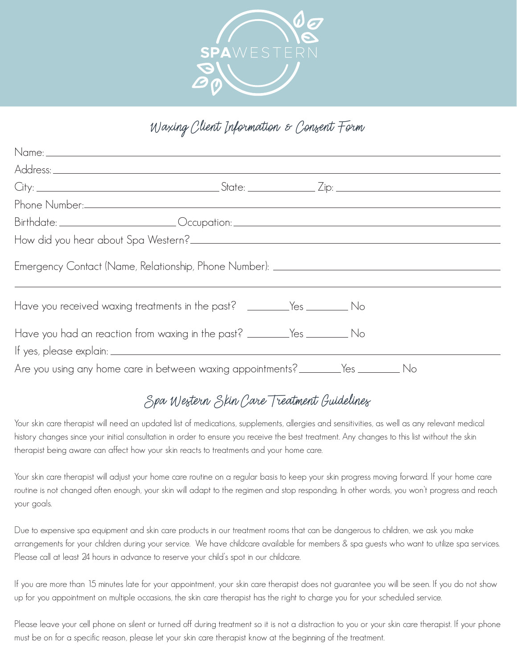

## Waxing Client Information & Consent Form

| Name: 2008 - 2008 - 2010 - 2010 - 2010 - 2010 - 2010 - 2010 - 2010 - 2010 - 2010 - 2010 - 2010 - 2010 - 2010 - |  |  |  |
|----------------------------------------------------------------------------------------------------------------|--|--|--|
|                                                                                                                |  |  |  |
|                                                                                                                |  |  |  |
|                                                                                                                |  |  |  |
| Birthdate: __________________________Occupation: _______________________________                               |  |  |  |
|                                                                                                                |  |  |  |
| Emergency Contact (Name, Relationship, Phone Number): __________________________                               |  |  |  |
| Have you received waxing treatments in the past? ________Yes __________ No                                     |  |  |  |
| Have you had an reaction from waxing in the past? _________Yes ___________ No                                  |  |  |  |
| Are you using any home care in between waxing appointments? _______Yes ________ No                             |  |  |  |

## Spa Western Skin Care Treatment Guidelines

Your skin care therapist will need an updated list of medications, supplements, allergies and sensitivities, as well as any relevant medical history changes since your initial consultation in order to ensure you receive the best treatment. Any changes to this list without the skin therapist being aware can affect how your skin reacts to treatments and your home care.

Your skin care therapist will adjust your home care routine on a regular basis to keep your skin progress moving forward. If your home care routine is not changed often enough, your skin will adapt to the regimen and stop responding. In other words, you won't progress and reach your goals.

Due to expensive spa equipment and skin care products in our treatment rooms that can be dangerous to children, we ask you make arrangements for your children during your service. We have childcare available for members & spa guests who want to utilize spa services. Please call at least 24 hours in advance to reserve your child's spot in our childcare.

If you are more than 15 minutes late for your appointment, your skin care therapist does not guarantee you will be seen. If you do not show up for you appointment on multiple occasions, the skin care therapist has the right to charge you for your scheduled service.

Please leave your cell phone on silent or turned off during treatment so it is not a distraction to you or your skin care therapist. If your phone must be on for a specific reason, please let your skin care therapist know at the beginning of the treatment.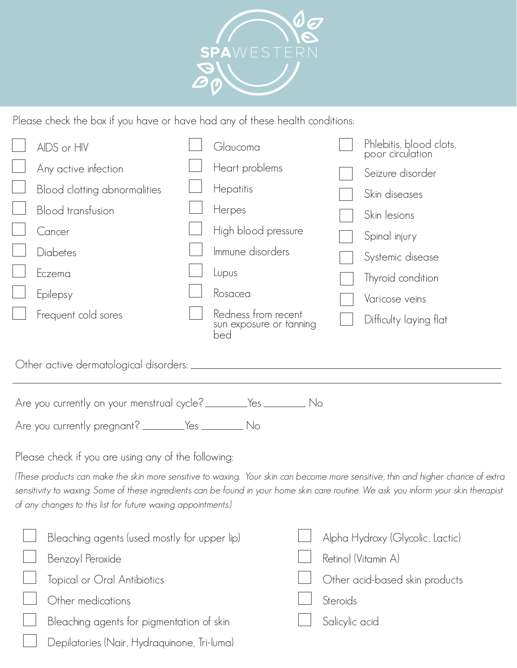

Please check the box if you have or have had any of these health conditions:

|                                                                                   | AIDS or HIV                  |  | Glaucoma                                              |  | Phlebitis, blood clots,<br>poor circulation |  |  |
|-----------------------------------------------------------------------------------|------------------------------|--|-------------------------------------------------------|--|---------------------------------------------|--|--|
|                                                                                   | Any active infection         |  | Heart problems                                        |  | Seizure disorder                            |  |  |
|                                                                                   | Blood clotting abnormalities |  | Hepatitis                                             |  | Skin diseases                               |  |  |
|                                                                                   | <b>Blood transfusion</b>     |  | Herpes                                                |  | Skin lesions                                |  |  |
|                                                                                   | Cancer                       |  | High blood pressure                                   |  | Spinal injury                               |  |  |
|                                                                                   | Diabetes                     |  | Immune disorders                                      |  | Systemic disease                            |  |  |
|                                                                                   | Eczema                       |  | Lupus                                                 |  | Thyroid condition                           |  |  |
|                                                                                   | Epilepsy                     |  | Rosacea                                               |  | Varicose veins                              |  |  |
|                                                                                   | Frequent cold sores          |  | Redness from recent<br>sun exposure or tanning<br>bed |  | Difficulty laying flat                      |  |  |
|                                                                                   |                              |  |                                                       |  |                                             |  |  |
|                                                                                   |                              |  |                                                       |  |                                             |  |  |
| Are you currently on your menstrual cycle? ________Yes __________________________ |                              |  |                                                       |  |                                             |  |  |
|                                                                                   |                              |  |                                                       |  |                                             |  |  |

Please check if you are using any of the following:

(These products can make the skin more sensitive to waxing. Your skin can become more sensitive, thin and higher chance of extra sensitivity to waxing. Some of these ingredients can be found in your home skin care routine. We ask you inform your skin therapist of any changes to this list for future waxing appointments.)

| Bleaching agents (used mostly for upper lip) | Alpha Hydroxy (Glycolic, Lactic) |
|----------------------------------------------|----------------------------------|
| Benzoyl Peroxide                             | Retinol (Vitamin A)              |
| Topical or Oral Antibiotics                  | Other acid-based skin products   |
| Other medications                            | Steroids                         |
| Bleaching agents for pigmentation of skin    | Salicylic acid                   |
| Depilatories (Nair, Hydraquinone, Tri-luma)  |                                  |